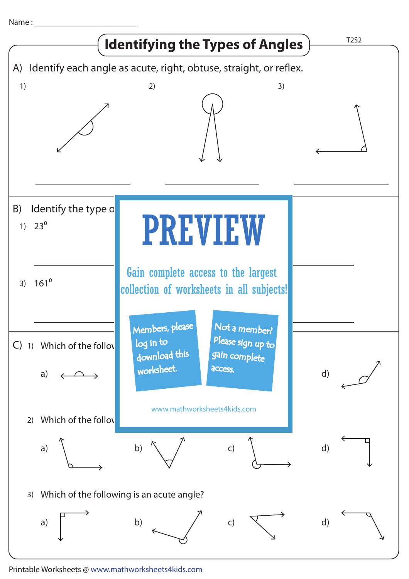Name :



Printable Worksheets @ www.mathworksheets4kids.com